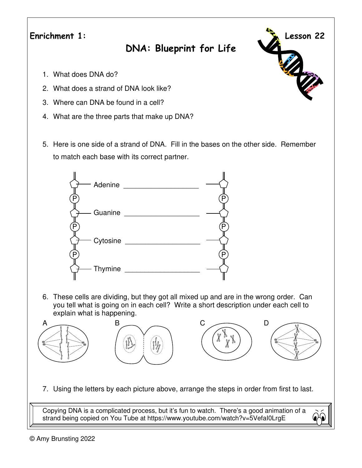**Enrichment 1: Lesson 22** 

## **DNA: Blueprint for Life**

- 1. What does DNA do?
- 2. What does a strand of DNA look like?
- 3. Where can DNA be found in a cell?
- 4. What are the three parts that make up DNA?
- 5. Here is one side of a strand of DNA. Fill in the bases on the other side. Remember to match each base with its correct partner.



6. These cells are dividing, but they got all mixed up and are in the wrong order. Can you tell what is going on in each cell? Write a short description under each cell to explain what is happening.



7. Using the letters by each picture above, arrange the steps in order from first to last.

Copying DNA is a complicated process, but it's fun to watch. There's a good animation of a strand being copied on You Tube at https://www.youtube.com/watch?v=5VefaI0LrgE



R